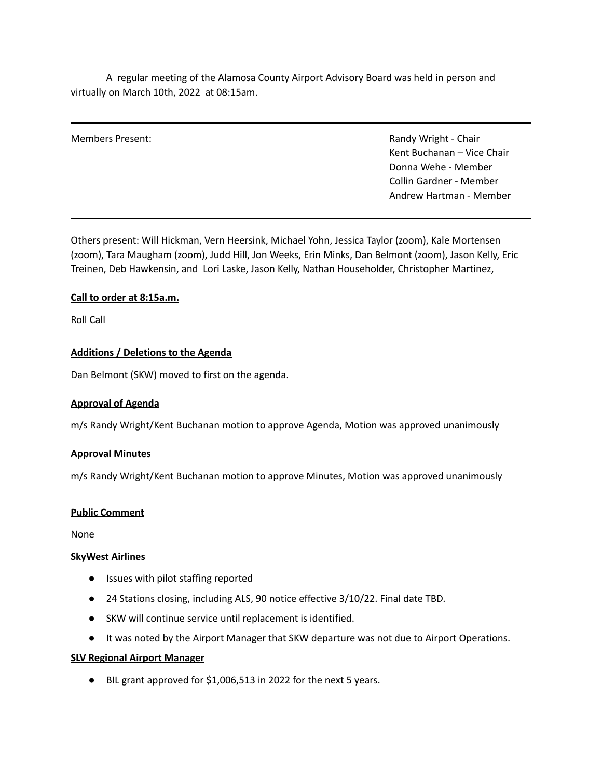A regular meeting of the Alamosa County Airport Advisory Board was held in person and virtually on March 10th, 2022 at 08:15am.

Members Present: The Chair Chair Chair Chair Chair Chair Chair Chair Chair Chair Chair Chair Chair Chair Chair Kent Buchanan – Vice Chair Donna Wehe - Member Collin Gardner - Member Andrew Hartman - Member

Others present: Will Hickman, Vern Heersink, Michael Yohn, Jessica Taylor (zoom), Kale Mortensen (zoom), Tara Maugham (zoom), Judd Hill, Jon Weeks, Erin Minks, Dan Belmont (zoom), Jason Kelly, Eric Treinen, Deb Hawkensin, and Lori Laske, Jason Kelly, Nathan Householder, Christopher Martinez,

# **Call to order at 8:15a.m.**

Roll Call

# **Additions / Deletions to the Agenda**

Dan Belmont (SKW) moved to first on the agenda.

## **Approval of Agenda**

m/s Randy Wright/Kent Buchanan motion to approve Agenda, Motion was approved unanimously

## **Approval Minutes**

m/s Randy Wright/Kent Buchanan motion to approve Minutes, Motion was approved unanimously

## **Public Comment**

None

## **SkyWest Airlines**

- Issues with pilot staffing reported
- 24 Stations closing, including ALS, 90 notice effective 3/10/22. Final date TBD.
- SKW will continue service until replacement is identified.
- It was noted by the Airport Manager that SKW departure was not due to Airport Operations.

## **SLV Regional Airport Manager**

● BIL grant approved for \$1,006,513 in 2022 for the next 5 years.